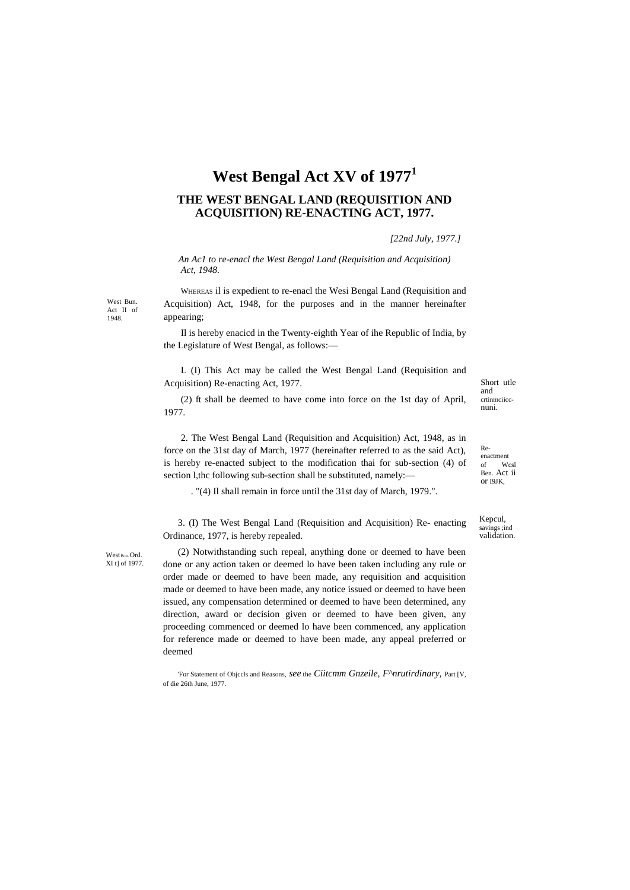## **West Bengal Act XV of 1977<sup>1</sup>**

## **THE WEST BENGAL LAND (REQUISITION AND ACQUISITION) RE-ENACTING ACT, 1977.**

*[22nd July, 1977.]*

*An Ac1 to re-enacl the West Bengal Land (Requisition and Acquisition) Act, 1948.*

West Bun. Act II of 1948.

WHEREAS il is expedient to re-enacl the Wesi Bengal Land (Requisition and Acquisition) Act, 1948, for the purposes and in the manner hereinafter appearing;

Il is hereby enacicd in the Twenty-eighth Year of ihe Republic of India, by the Legislature of West Bengal, as follows:—

L (I) This Act may be called the West Bengal Land (Requisition and Acquisition) Re-enacting Act, 1977.

(2) ft shall be deemed to have come into force on the 1st day of April, 1977.

2. The West Bengal Land (Requisition and Acquisition) Act, 1948, as in force on the 31st day of March, 1977 (hereinafter referred to as the said Act), is hereby re-enacted subject to the modification thai for sub-section (4) of section l,thc following sub-section shall be substituted, namely:-

. "(4) Il shall remain in force until the 31st day of March, 1979.".

3. (I) The West Bengal Land (Requisition and Acquisition) Re- enacting Ordinance, 1977, is hereby repealed.

West BCJI.Ord. XI t] of 1977.

(2) Notwithstanding such repeal, anything done or deemed to have been done or any action taken or deemed lo have been taken including any rule or order made or deemed to have been made, any requisition and acquisition made or deemed to have been made, any notice issued or deemed to have been issued, any compensation determined or deemed to have been determined, any direction, award or decision given or deemed to have been given, any proceeding commenced or deemed lo have been commenced, any application for reference made or deemed to have been made, any appeal preferred or deemed

'For Statement of Objccls and Reasons, *see* the *Ciitcmm Gnzeile, F^nrutirdinary,* Part [V, of die 26th June, 1977.

Short utle and crtinmciiccnuni.

Reenactment of Wcsl Ben. Act ii or I9JK,

Kepcul, savings ;ind validation.